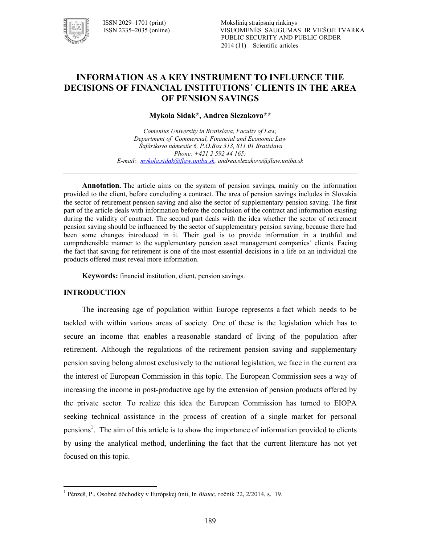

## **INFORMATION AS A KEY INSTRUMENT TO INFLUENCE THE DECISIONS OF FINANCIAL INSTITUTIONS´ CLIENTS IN THE AREA OF PENSION SAVINGS**

**Mykola Sidak\*, Andrea Slezakova\*\*** 

*Comenius University in Bratislava, Faculty of Law, Department of Commercial, Financial and Economic Law Šafárikovo námestie 6, P.O.Box 313, 811 01 Bratislava Phone: +421 2 592 44 165; E!mail: mykola.sidak@flaw.uniba.sk, andrea.slezakova@flaw.uniba.sk* 

**Annotation.** The article aims on the system of pension savings, mainly on the information provided to the client, before concluding a contract. The area of pension savings includes in Slovakia the sector of retirement pension saving and also the sector of supplementary pension saving. The first part of the article deals with information before the conclusion of the contract and information existing during the validity of contract. The second part deals with the idea whether the sector of retirement pension saving should be influenced by the sector of supplementary pension saving, because there had been some changes introduced in it. Their goal is to provide information in a truthful and comprehensible manner to the supplementary pension asset management companies´ clients. Facing the fact that saving for retirement is one of the most essential decisions in a life on an individual the products offered must reveal more information.

**Keywords:** financial institution, client, pension savings.

#### **INTRODUCTION**

 $\ddot{\phantom{a}}$ 

The increasing age of population within Europe represents a fact which needs to be tackled with within various areas of society. One of these is the legislation which has to secure an income that enables a reasonable standard of living of the population after retirement. Although the regulations of the retirement pension saving and supplementary pension saving belong almost exclusively to the national legislation, we face in the current era the interest of European Commission in this topic. The European Commission sees a way of increasing the income in post-productive age by the extension of pension products offered by the private sector. To realize this idea the European Commission has turned to EIOPA seeking technical assistance in the process of creation of a single market for personal pensions<sup>1</sup>. The aim of this article is to show the importance of information provided to clients by using the analytical method, underlining the fact that the current literature has not yet focused on this topic.

<sup>1</sup> Pénzeš, P., Osobné dôchodky v Európskej únii, In *Biatec*, ročník 22, 2/2014, s. 19.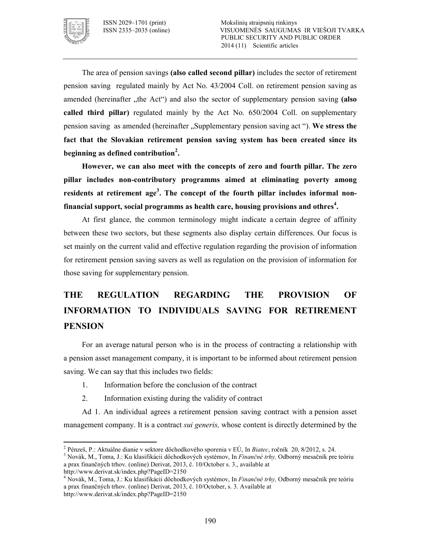

The area of pension savings **(also called second pillar)** includes the sector of retirement pension saving regulated mainly by Act No. 43/2004 Coll. on retirement pension saving as amended (hereinafter , the Act<sup>\*\*</sup>) and also the sector of supplementary pension saving (also **called third pillar)** regulated mainly by the Act No. 650/2004 Coll. on supplementary pension saving as amended (hereinafter "Supplementary pension saving act "). **We stress the fact that the Slovakian retirement pension saving system has been created since its beginning as defined contribution<sup>2</sup> .**

**However, we can also meet with the concepts of zero and fourth pillar. The zero pillar includes non=contributory programms aimed at eliminating poverty among residents at retirement age<sup>3</sup> . The concept of the fourth pillar includes informal non= financial support, social programms as health care, housing provisions and othres<sup>4</sup> .**

At first glance, the common terminology might indicate a certain degree of affinity between these two sectors, but these segments also display certain differences. Our focus is set mainly on the current valid and effective regulation regarding the provision of information for retirement pension saving savers as well as regulation on the provision of information for those saving for supplementary pension.

# **THE REGULATION REGARDING THE PROVISION OF INFORMATION TO INDIVIDUALS SAVING FOR RETIREMENT PENSION**

For an average natural person who is in the process of contracting a relationship with a pension asset management company, it is important to be informed about retirement pension saving. We can say that this includes two fields:

- 1. Information before the conclusion of the contract
- 2. Information existing during the validity of contract

Ad 1. An individual agrees a retirement pension saving contract with a pension asset management company. It is a contract *sui generis,* whose content is directly determined by the

<sup>2</sup> Pénzeš, P.: Aktuálne dianie v sektore dôchodkového sporenia v EÚ, In *Biatec*, ročník 20, 8/2012, s. 24.

<sup>3</sup> Novák, M., Toma, J.: Ku klasifikácii dôchodkových systémov, In *Finančné trhy,* Odborný mesačník pre teóriu a prax finančných trhov. (online) Derivat, 2013, č. 10/October s. 3., available at

http://www.derivat.sk/index.php?PageID=2150

<sup>4</sup> Novák, M., Toma, J.: Ku klasifikácii dôchodkových systémov, In *Finančné trhy,* Odborný mesačník pre teóriu a prax finančných trhov. (online) Derivat, 2013, č. 10/October, s. 3. Available at http://www.derivat.sk/index.php?PageID=2150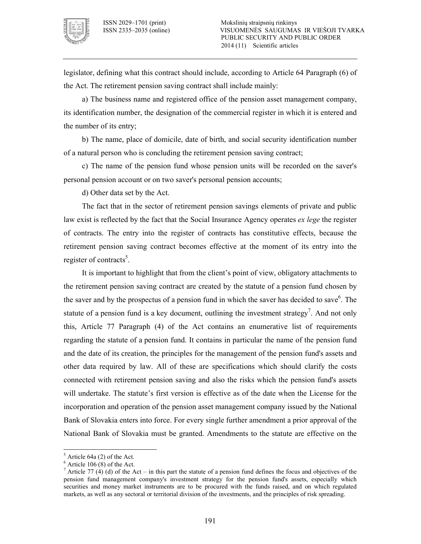

legislator, defining what this contract should include, according to Article 64 Paragraph (6) of the Act. The retirement pension saving contract shall include mainly:

a) The business name and registered office of the pension asset management company, its identification number, the designation of the commercial register in which it is entered and the number of its entry;

b) The name, place of domicile, date of birth, and social security identification number of a natural person who is concluding the retirement pension saving contract;

c) The name of the pension fund whose pension units will be recorded on the saver's personal pension account or on two saver's personal pension accounts;

d) Other data set by the Act.

The fact that in the sector of retirement pension savings elements of private and public law exist is reflected by the fact that the Social Insurance Agency operates *ex lege* the register of contracts. The entry into the register of contracts has constitutive effects, because the retirement pension saving contract becomes effective at the moment of its entry into the register of contracts<sup>5</sup>.

It is important to highlight that from the client's point of view, obligatory attachments to the retirement pension saving contract are created by the statute of a pension fund chosen by the saver and by the prospectus of a pension fund in which the saver has decided to save $6$ . The statute of a pension fund is a key document, outlining the investment strategy<sup>7</sup>. And not only this, Article 77 Paragraph (4) of the Act contains an enumerative list of requirements regarding the statute of a pension fund. It contains in particular the name of the pension fund and the date of its creation, the principles for the management of the pension fund's assets and other data required by law. All of these are specifications which should clarify the costs connected with retirement pension saving and also the risks which the pension fund's assets will undertake. The statute's first version is effective as of the date when the License for the incorporation and operation of the pension asset management company issued by the National Bank of Slovakia enters into force. For every single further amendment a prior approval of the National Bank of Slovakia must be granted. Amendments to the statute are effective on the

 $<sup>5</sup>$  Article 64a (2) of the Act.</sup>

 $6$  Article 106 (8) of the Act.

<sup>&</sup>lt;sup>7</sup> Article 77 (4) (d) of the Act – in this part the statute of a pension fund defines the focus and objectives of the pension fund management company's investment strategy for the pension fund's assets, especially which securities and money market instruments are to be procured with the funds raised, and on which regulated markets, as well as any sectoral or territorial division of the investments, and the principles of risk spreading.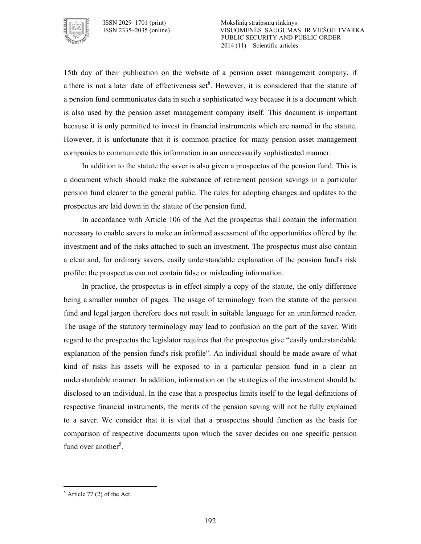

15th day of their publication on the website of a pension asset management company, if a there is not a later date of effectiveness set<sup>8</sup>. However, it is considered that the statute of a pension fund communicates data in such a sophisticated way because it is a document which is also used by the pension asset management company itself. This document is important because it is only permitted to invest in financial instruments which are named in the statute. However, it is unfortunate that it is common practice for many pension asset management companies to communicate this information in an unnecessarily sophisticated manner.

In addition to the statute the saver is also given a prospectus of the pension fund. This is a document which should make the substance of retirement pension savings in a particular pension fund clearer to the general public. The rules for adopting changes and updates to the prospectus are laid down in the statute of the pension fund.

In accordance with Article 106 of the Act the prospectus shall contain the information necessary to enable savers to make an informed assessment of the opportunities offered by the investment and of the risks attached to such an investment. The prospectus must also contain a clear and, for ordinary savers, easily understandable explanation of the pension fund's risk profile; the prospectus can not contain false or misleading information.

In practice, the prospectus is in effect simply a copy of the statute, the only difference being a smaller number of pages. The usage of terminology from the statute of the pension fund and legal jargon therefore does not result in suitable language for an uninformed reader. The usage of the statutory terminology may lead to confusion on the part of the saver. With regard to the prospectus the legislator requires that the prospectus give "easily understandable explanation of the pension fund's risk profile". An individual should be made aware of what kind of risks his assets will be exposed to in a particular pension fund in a clear an understandable manner. In addition, information on the strategies of the investment should be disclosed to an individual. In the case that a prospectus limits itself to the legal definitions of respective financial instruments, the merits of the pension saving will not be fully explained to a saver. We consider that it is vital that a prospectus should function as the basis for comparison of respective documents upon which the saver decides on one specific pension fund over another<sup>5</sup>.

 $\ddot{\phantom{a}}$  $8$  Article 77 (2) of the Act.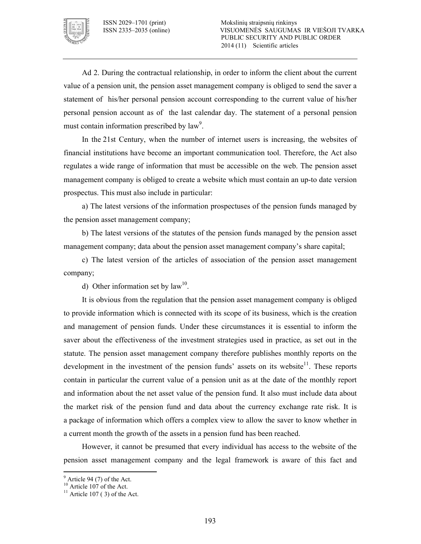

Ad 2. During the contractual relationship, in order to inform the client about the current value of a pension unit, the pension asset management company is obliged to send the saver a statement of his/her personal pension account corresponding to the current value of his/her personal pension account as of the last calendar day. The statement of a personal pension must contain information prescribed by  $law<sup>9</sup>$ .

In the 21st Century, when the number of internet users is increasing, the websites of financial institutions have become an important communication tool. Therefore, the Act also regulates a wide range of information that must be accessible on the web. The pension asset management company is obliged to create a website which must contain an up-to date version prospectus. This must also include in particular:

a) The latest versions of the information prospectuses of the pension funds managed by the pension asset management company;

b) The latest versions of the statutes of the pension funds managed by the pension asset management company; data about the pension asset management company's share capital;

c) The latest version of the articles of association of the pension asset management company;

d) Other information set by  $law<sup>10</sup>$ .

It is obvious from the regulation that the pension asset management company is obliged to provide information which is connected with its scope of its business, which is the creation and management of pension funds. Under these circumstances it is essential to inform the saver about the effectiveness of the investment strategies used in practice, as set out in the statute. The pension asset management company therefore publishes monthly reports on the development in the investment of the pension funds' assets on its website<sup>11</sup>. These reports contain in particular the current value of a pension unit as at the date of the monthly report and information about the net asset value of the pension fund. It also must include data about the market risk of the pension fund and data about the currency exchange rate risk. It is a package of information which offers a complex view to allow the saver to know whether in a current month the growth of the assets in a pension fund has been reached.

However, it cannot be presumed that every individual has access to the website of the pension asset management company and the legal framework is aware of this fact and

 $94$  (7) of the Act.

<sup>&</sup>lt;sup>10</sup> Article 107 of the Act.

<sup>&</sup>lt;sup>11</sup> Article 107 (3) of the Act.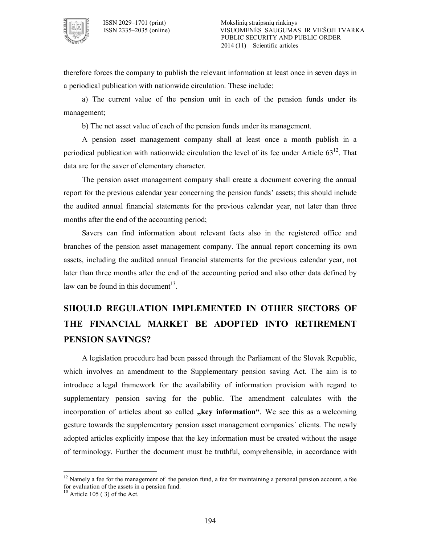

therefore forces the company to publish the relevant information at least once in seven days in a periodical publication with nationwide circulation. These include:

a) The current value of the pension unit in each of the pension funds under its management;

b) The net asset value of each of the pension funds under its management.

A pension asset management company shall at least once a month publish in a periodical publication with nationwide circulation the level of its fee under Article  $63^{12}$ . That data are for the saver of elementary character.

The pension asset management company shall create a document covering the annual report for the previous calendar year concerning the pension funds' assets; this should include the audited annual financial statements for the previous calendar year, not later than three months after the end of the accounting period;

Savers can find information about relevant facts also in the registered office and branches of the pension asset management company. The annual report concerning its own assets, including the audited annual financial statements for the previous calendar year, not later than three months after the end of the accounting period and also other data defined by law can be found in this document $13$ .

## **SHOULD REGULATION IMPLEMENTED IN OTHER SECTORS OF THE FINANCIAL MARKET BE ADOPTED INTO RETIREMENT PENSION SAVINGS?**

A legislation procedure had been passed through the Parliament of the Slovak Republic, which involves an amendment to the Supplementary pension saving Act. The aim is to introduce a legal framework for the availability of information provision with regard to supplementary pension saving for the public. The amendment calculates with the incorporation of articles about so called **"key information"**. We see this as a welcoming gesture towards the supplementary pension asset management companies´ clients. The newly adopted articles explicitly impose that the key information must be created without the usage of terminology. Further the document must be truthful, comprehensible, in accordance with

 $12$  Namely a fee for the management of the pension fund, a fee for maintaining a personal pension account, a fee for evaluation of the assets in a pension fund.

**<sup>13</sup>** Article 105 ( 3) of the Act.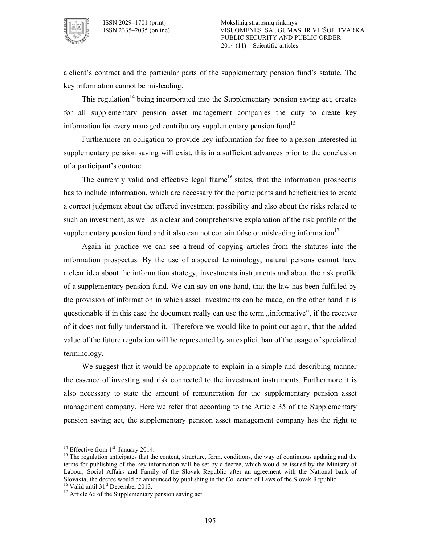

a client's contract and the particular parts of the supplementary pension fund's statute. The key information cannot be misleading.

This regulation<sup>14</sup> being incorporated into the Supplementary pension saving act, creates for all supplementary pension asset management companies the duty to create key information for every managed contributory supplementary pension fund<sup>15</sup>.

Furthermore an obligation to provide key information for free to a person interested in supplementary pension saving will exist, this in a sufficient advances prior to the conclusion of a participant's contract.

The currently valid and effective legal frame<sup>16</sup> states, that the information prospectus has to include information, which are necessary for the participants and beneficiaries to create a correct judgment about the offered investment possibility and also about the risks related to such an investment, as well as a clear and comprehensive explanation of the risk profile of the supplementary pension fund and it also can not contain false or misleading information $17$ .

Again in practice we can see a trend of copying articles from the statutes into the information prospectus. By the use of a special terminology, natural persons cannot have a clear idea about the information strategy, investments instruments and about the risk profile of a supplementary pension fund. We can say on one hand, that the law has been fulfilled by the provision of information in which asset investments can be made, on the other hand it is questionable if in this case the document really can use the term "informative", if the receiver of it does not fully understand it. Therefore we would like to point out again, that the added value of the future regulation will be represented by an explicit ban of the usage of specialized terminology.

We suggest that it would be appropriate to explain in a simple and describing manner the essence of investing and risk connected to the investment instruments. Furthermore it is also necessary to state the amount of remuneration for the supplementary pension asset management company. Here we refer that according to the Article 35 of the Supplementary pension saving act, the supplementary pension asset management company has the right to

<sup>&</sup>lt;sup>14</sup> Effective from  $1<sup>st</sup>$  January 2014.

<sup>&</sup>lt;sup>15</sup> The regulation anticipates that the content, structure, form, conditions, the way of continuous updating and the terms for publishing of the key information will be set by a decree, which would be issued by the Ministry of Labour, Social Affairs and Family of the Slovak Republic after an agreement with the National bank of Slovakia; the decree would be announced by publishing in the Collection of Laws of the Slovak Republic.

 $16$  Valid until 31<sup>st</sup> December 2013.

<sup>&</sup>lt;sup>17</sup> Article 66 of the Supplementary pension saving act.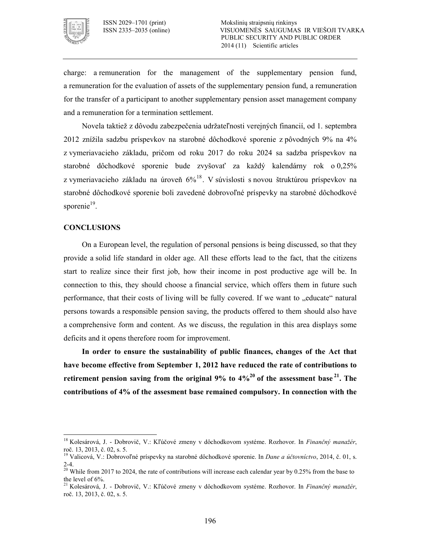

charge: a remuneration for the management of the supplementary pension fund, a remuneration for the evaluation of assets of the supplementary pension fund, a remuneration for the transfer of a participant to another supplementary pension asset management company and a remuneration for a termination settlement.

Novela taktiež z dôvodu zabezpečenia udržateľnosti verejných financií, od 1. septembra 2012 znížila sadzbu príspevkov na starobné dôchodkové sporenie z pôvodných 9% na 4% z vymeriavacieho základu, pričom od roku 2017 do roku 2024 sa sadzba príspevkov na starobné dôchodkové sporenie bude zvyšovať za každý kalendárny rok o 0,25% z vymeriavacieho základu na úroveň  $6\frac{6}{8}$ . V súvislosti s novou štruktúrou príspevkov na starobné dôchodkové sporenie boli zavedené dobrovoľné príspevky na starobné dôchodkové sporenie<sup>19</sup>.

#### **CONCLUSIONS**

 $\overline{a}$ 

On a European level, the regulation of personal pensions is being discussed, so that they provide a solid life standard in older age. All these efforts lead to the fact, that the citizens start to realize since their first job, how their income in post productive age will be. In connection to this, they should choose a financial service, which offers them in future such performance, that their costs of living will be fully covered. If we want to "educate" natural persons towards a responsible pension saving, the products offered to them should also have a comprehensive form and content. As we discuss, the regulation in this area displays some deficits and it opens therefore room for improvement.

**In order to ensure the sustainability of public finances, changes of the Act that have become effective from September 1, 2012 have reduced the rate of contributions to retirement pension saving from the original 9% to**  $4\frac{20}{a}$  **of the assessment base<sup>21</sup>. The contributions of 4% of the assesment base remained compulsory. In connection with the** 

<sup>18</sup> Kolesárová, J. Dobrovič, V.: Kľúčové zmeny v dôchodkovom systéme. Rozhovor. In *Finančný manažér*, roč. 13, 2013, č. 02, s. 5.

<sup>19</sup> Valicová, V.: Dobrovoľné príspevky na starobné dôchodkové sporenie. In *Dane a účtovníctvo*, 2014, č. 01, s.  $2 - 4.$ 

<sup>&</sup>lt;sup>20</sup> While from 2017 to 2024, the rate of contributions will increase each calendar year by 0.25% from the base to the level of 6%.

<sup>21</sup> Kolesárová, J. Dobrovič, V.: Kľúčové zmeny v dôchodkovom systéme. Rozhovor. In *Finančný manažér*, roč. 13, 2013, č. 02, s. 5.